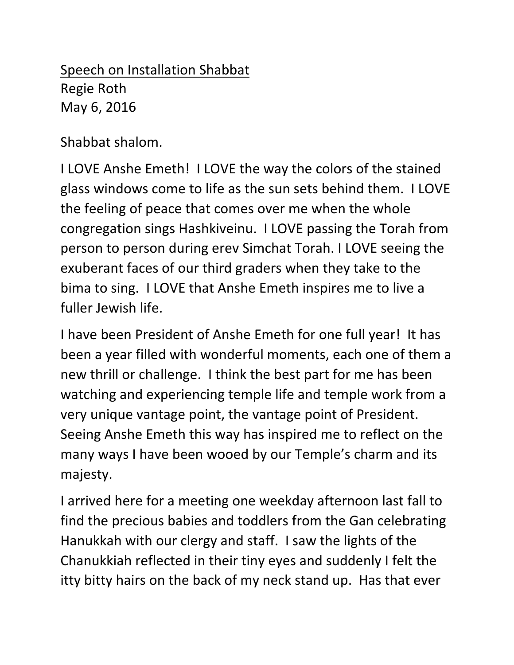Speech on Installation Shabbat Regie Roth May 6, 2016

Shabbat shalom.

I LOVE Anshe Emeth! I LOVE the way the colors of the stained glass windows come to life as the sun sets behind them. I LOVE the feeling of peace that comes over me when the whole congregation sings Hashkiveinu. I LOVE passing the Torah from person to person during erev Simchat Torah. I LOVE seeing the exuberant faces of our third graders when they take to the bima to sing. I LOVE that Anshe Emeth inspires me to live a fuller Jewish life.

I have been President of Anshe Emeth for one full year! It has been a year filled with wonderful moments, each one of them a new thrill or challenge. I think the best part for me has been watching and experiencing temple life and temple work from a very unique vantage point, the vantage point of President. Seeing Anshe Emeth this way has inspired me to reflect on the many ways I have been wooed by our Temple's charm and its majesty.

I arrived here for a meeting one weekday afternoon last fall to find the precious babies and toddlers from the Gan celebrating Hanukkah with our clergy and staff. I saw the lights of the Chanukkiah reflected in their tiny eyes and suddenly I felt the itty bitty hairs on the back of my neck stand up. Has that ever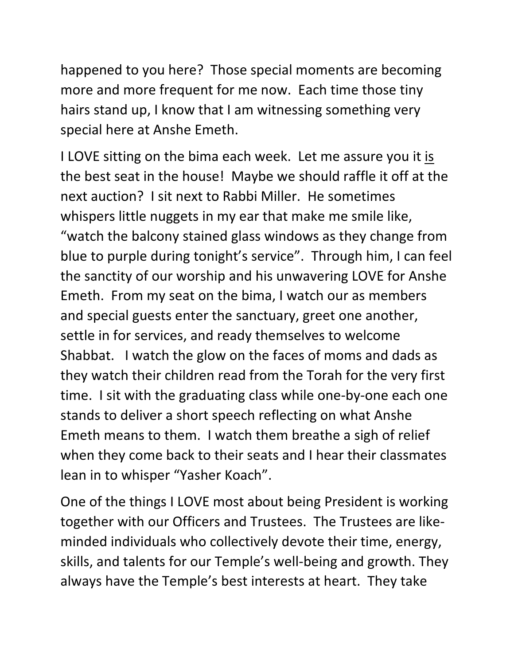happened to you here? Those special moments are becoming more and more frequent for me now. Each time those tiny hairs stand up, I know that I am witnessing something very special here at Anshe Emeth.

I LOVE sitting on the bima each week. Let me assure you it is the best seat in the house! Maybe we should raffle it off at the next auction? I sit next to Rabbi Miller. He sometimes whispers little nuggets in my ear that make me smile like, "watch the balcony stained glass windows as they change from blue to purple during tonight's service". Through him, I can feel the sanctity of our worship and his unwavering LOVE for Anshe Emeth. From my seat on the bima, I watch our as members and special guests enter the sanctuary, greet one another, settle in for services, and ready themselves to welcome Shabbat. I watch the glow on the faces of moms and dads as they watch their children read from the Torah for the very first time. I sit with the graduating class while one-by-one each one stands to deliver a short speech reflecting on what Anshe Emeth means to them. I watch them breathe a sigh of relief when they come back to their seats and I hear their classmates lean in to whisper "Yasher Koach".

One of the things I LOVE most about being President is working together with our Officers and Trustees. The Trustees are likeminded individuals who collectively devote their time, energy, skills, and talents for our Temple's well-being and growth. They always have the Temple's best interests at heart. They take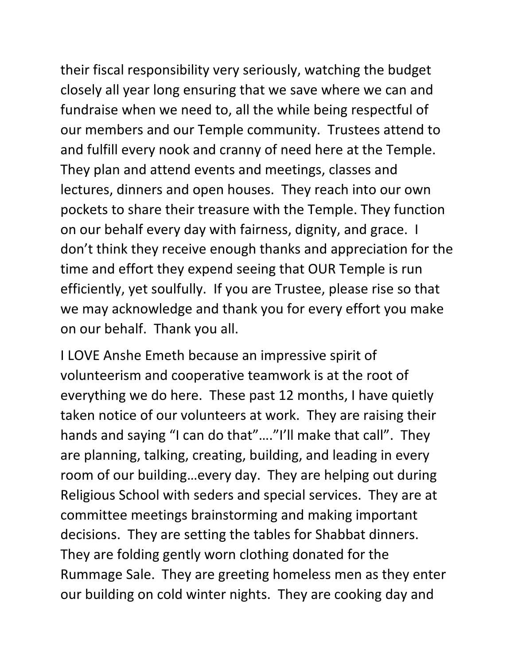their fiscal responsibility very seriously, watching the budget closely all year long ensuring that we save where we can and fundraise when we need to, all the while being respectful of our members and our Temple community. Trustees attend to and fulfill every nook and cranny of need here at the Temple. They plan and attend events and meetings, classes and lectures, dinners and open houses. They reach into our own pockets to share their treasure with the Temple. They function on our behalf every day with fairness, dignity, and grace. I don't think they receive enough thanks and appreciation for the time and effort they expend seeing that OUR Temple is run efficiently, yet soulfully. If you are Trustee, please rise so that we may acknowledge and thank you for every effort you make on our behalf. Thank you all.

I LOVE Anshe Emeth because an impressive spirit of volunteerism and cooperative teamwork is at the root of everything we do here. These past 12 months, I have quietly taken notice of our volunteers at work. They are raising their hands and saying "I can do that"…."I'll make that call". They are planning, talking, creating, building, and leading in every room of our building…every day. They are helping out during Religious School with seders and special services. They are at committee meetings brainstorming and making important decisions. They are setting the tables for Shabbat dinners. They are folding gently worn clothing donated for the Rummage Sale. They are greeting homeless men as they enter our building on cold winter nights. They are cooking day and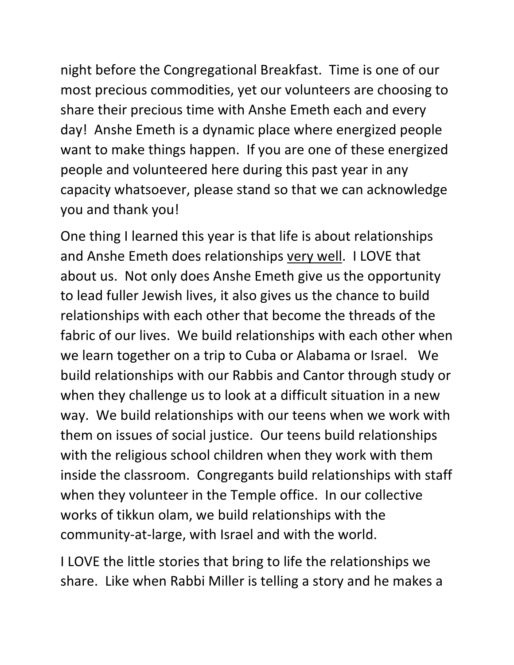night before the Congregational Breakfast. Time is one of our most precious commodities, yet our volunteers are choosing to share their precious time with Anshe Emeth each and every day! Anshe Emeth is a dynamic place where energized people want to make things happen. If you are one of these energized people and volunteered here during this past year in any capacity whatsoever, please stand so that we can acknowledge you and thank you!

One thing I learned this year is that life is about relationships and Anshe Emeth does relationships very well. I LOVE that about us. Not only does Anshe Emeth give us the opportunity to lead fuller Jewish lives, it also gives us the chance to build relationships with each other that become the threads of the fabric of our lives. We build relationships with each other when we learn together on a trip to Cuba or Alabama or Israel. We build relationships with our Rabbis and Cantor through study or when they challenge us to look at a difficult situation in a new way. We build relationships with our teens when we work with them on issues of social justice. Our teens build relationships with the religious school children when they work with them inside the classroom. Congregants build relationships with staff when they volunteer in the Temple office. In our collective works of tikkun olam, we build relationships with the community-at-large, with Israel and with the world.

I LOVE the little stories that bring to life the relationships we share. Like when Rabbi Miller is telling a story and he makes a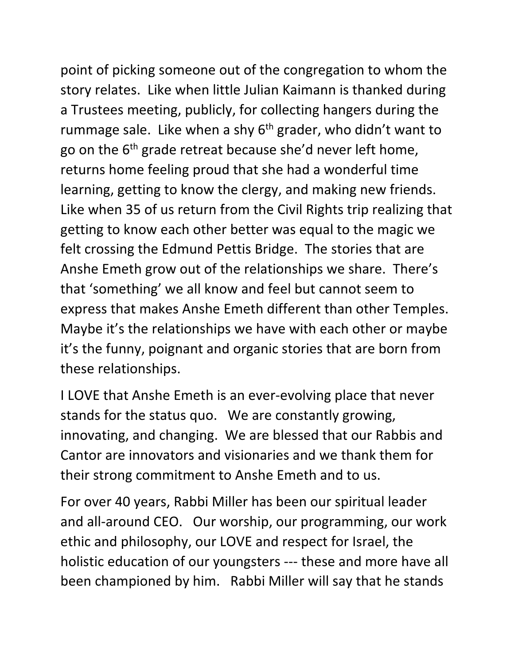point of picking someone out of the congregation to whom the story relates. Like when little Julian Kaimann is thanked during a Trustees meeting, publicly, for collecting hangers during the rummage sale. Like when a shy  $6<sup>th</sup>$  grader, who didn't want to go on the 6<sup>th</sup> grade retreat because she'd never left home, returns home feeling proud that she had a wonderful time learning, getting to know the clergy, and making new friends. Like when 35 of us return from the Civil Rights trip realizing that getting to know each other better was equal to the magic we felt crossing the Edmund Pettis Bridge. The stories that are Anshe Emeth grow out of the relationships we share. There's that 'something' we all know and feel but cannot seem to express that makes Anshe Emeth different than other Temples. Maybe it's the relationships we have with each other or maybe it's the funny, poignant and organic stories that are born from these relationships.

I LOVE that Anshe Emeth is an ever-evolving place that never stands for the status quo. We are constantly growing, innovating, and changing. We are blessed that our Rabbis and Cantor are innovators and visionaries and we thank them for their strong commitment to Anshe Emeth and to us.

For over 40 years, Rabbi Miller has been our spiritual leader and all-around CEO. Our worship, our programming, our work ethic and philosophy, our LOVE and respect for Israel, the holistic education of our youngsters --- these and more have all been championed by him. Rabbi Miller will say that he stands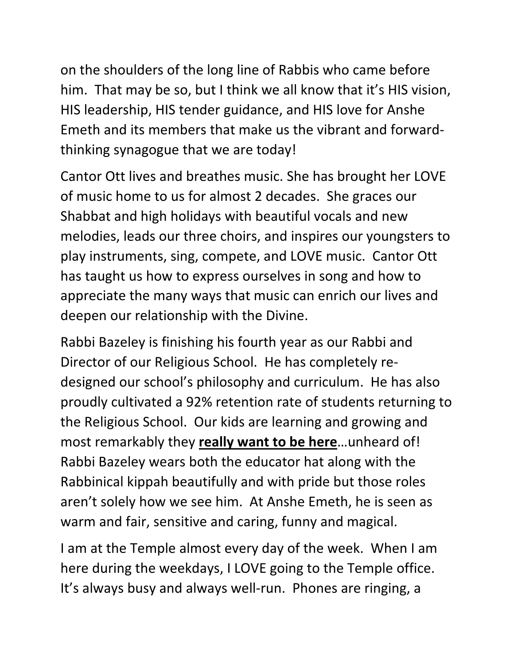on the shoulders of the long line of Rabbis who came before him. That may be so, but I think we all know that it's HIS vision, HIS leadership, HIS tender guidance, and HIS love for Anshe Emeth and its members that make us the vibrant and forwardthinking synagogue that we are today!

Cantor Ott lives and breathes music. She has brought her LOVE of music home to us for almost 2 decades. She graces our Shabbat and high holidays with beautiful vocals and new melodies, leads our three choirs, and inspires our youngsters to play instruments, sing, compete, and LOVE music. Cantor Ott has taught us how to express ourselves in song and how to appreciate the many ways that music can enrich our lives and deepen our relationship with the Divine.

Rabbi Bazeley is finishing his fourth year as our Rabbi and Director of our Religious School. He has completely redesigned our school's philosophy and curriculum. He has also proudly cultivated a 92% retention rate of students returning to the Religious School. Our kids are learning and growing and most remarkably they **really want to be here**…unheard of! Rabbi Bazeley wears both the educator hat along with the Rabbinical kippah beautifully and with pride but those roles aren't solely how we see him. At Anshe Emeth, he is seen as warm and fair, sensitive and caring, funny and magical.

I am at the Temple almost every day of the week. When I am here during the weekdays, I LOVE going to the Temple office. It's always busy and always well-run. Phones are ringing, a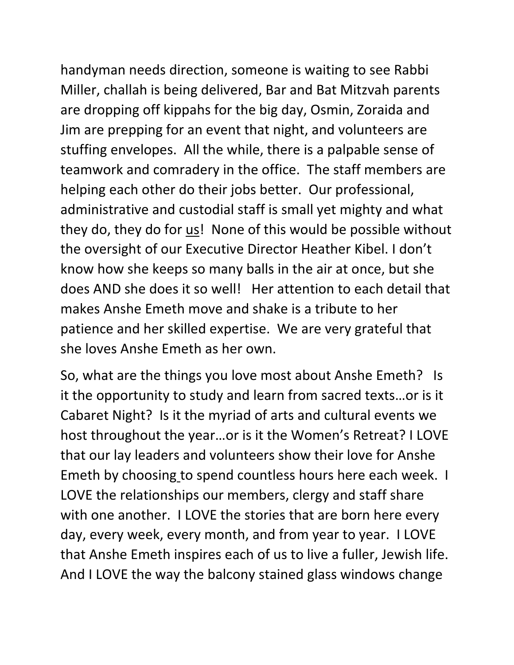handyman needs direction, someone is waiting to see Rabbi Miller, challah is being delivered, Bar and Bat Mitzvah parents are dropping off kippahs for the big day, Osmin, Zoraida and Jim are prepping for an event that night, and volunteers are stuffing envelopes. All the while, there is a palpable sense of teamwork and comradery in the office. The staff members are helping each other do their jobs better. Our professional, administrative and custodial staff is small yet mighty and what they do, they do for us! None of this would be possible without the oversight of our Executive Director Heather Kibel. I don't know how she keeps so many balls in the air at once, but she does AND she does it so well! Her attention to each detail that makes Anshe Emeth move and shake is a tribute to her patience and her skilled expertise. We are very grateful that she loves Anshe Emeth as her own.

So, what are the things you love most about Anshe Emeth? Is it the opportunity to study and learn from sacred texts…or is it Cabaret Night? Is it the myriad of arts and cultural events we host throughout the year…or is it the Women's Retreat? I LOVE that our lay leaders and volunteers show their love for Anshe Emeth by choosing to spend countless hours here each week. I LOVE the relationships our members, clergy and staff share with one another. I LOVE the stories that are born here every day, every week, every month, and from year to year. I LOVE that Anshe Emeth inspires each of us to live a fuller, Jewish life. And I LOVE the way the balcony stained glass windows change